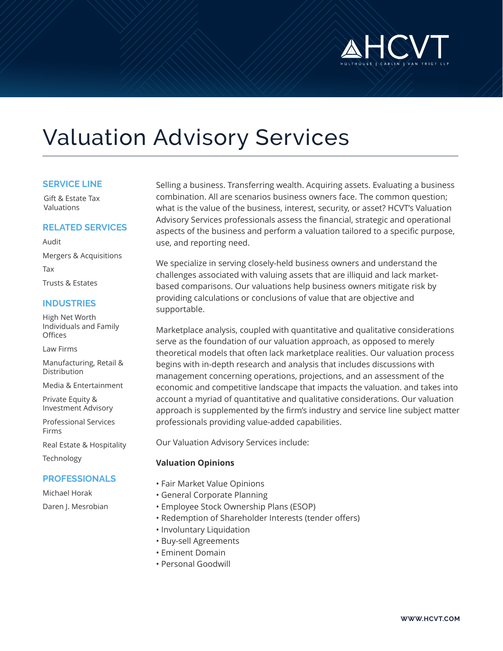

# Valuation Advisory Services

#### **SERVICE LINE**

Gift & Estate Tax Valuations

### **RELATED SERVICES**

Audit Mergers & Acquisitions Tax Trusts & Estates

# **INDUSTRIES**

High Net Worth Individuals and Family **Offices** 

Law Firms

Manufacturing, Retail & Distribution

Media & Entertainment

Private Equity & Investment Advisory

Professional Services Firms

Real Estate & Hospitality Technology

## **PROFESSIONALS**

Michael Horak Daren J. Mesrobian Selling a business. Transferring wealth. Acquiring assets. Evaluating a business combination. All are scenarios business owners face. The common question; what is the value of the business, interest, security, or asset? HCVT's Valuation Advisory Services professionals assess the financial, strategic and operational aspects of the business and perform a valuation tailored to a specific purpose, use, and reporting need.

We specialize in serving closely-held business owners and understand the challenges associated with valuing assets that are illiquid and lack marketbased comparisons. Our valuations help business owners mitigate risk by providing calculations or conclusions of value that are objective and supportable.

Marketplace analysis, coupled with quantitative and qualitative considerations serve as the foundation of our valuation approach, as opposed to merely theoretical models that often lack marketplace realities. Our valuation process begins with in-depth research and analysis that includes discussions with management concerning operations, projections, and an assessment of the economic and competitive landscape that impacts the valuation. and takes into account a myriad of quantitative and qualitative considerations. Our valuation approach is supplemented by the firm's industry and service line subject matter professionals providing value-added capabilities.

Our Valuation Advisory Services include:

## **Valuation Opinions**

- Fair Market Value Opinions
- General Corporate Planning
- Employee Stock Ownership Plans (ESOP)
- Redemption of Shareholder Interests (tender offers)
- Involuntary Liquidation
- Buy-sell Agreements
- Eminent Domain
- Personal Goodwill